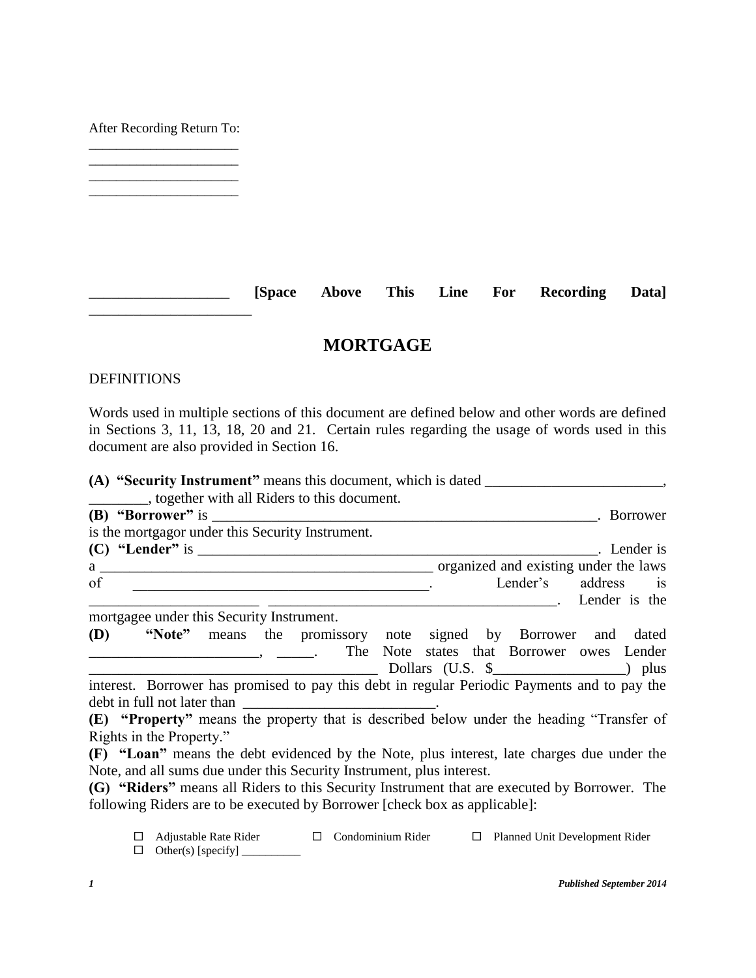| After Recording Return To: |  |
|----------------------------|--|
|                            |  |

\_\_\_\_\_\_\_\_\_\_\_\_\_\_\_\_\_\_\_\_\_\_ \_\_\_\_\_\_\_\_\_\_\_\_\_\_\_\_\_\_\_\_\_\_ \_\_\_\_\_\_\_\_\_\_\_\_\_\_\_\_\_\_\_\_\_\_

\_\_\_\_\_\_\_\_\_\_\_\_\_\_\_\_\_\_\_\_\_\_

\_\_\_\_\_\_\_\_\_\_\_\_\_\_\_\_\_\_\_ **[Space Above This Line For Recording Data]** 

## **MORTGAGE**

DEFINITIONS

Words used in multiple sections of this document are defined below and other words are defined in Sections 3, 11, 13, 18, 20 and 21. Certain rules regarding the usage of words used in this document are also provided in Section 16.

| (A) "Security Instrument" means this document, which is dated                                                                                  |             |
|------------------------------------------------------------------------------------------------------------------------------------------------|-------------|
| _____, together with all Riders to this document.                                                                                              |             |
|                                                                                                                                                | . Borrower  |
| is the mortgagor under this Security Instrument.                                                                                               |             |
| $(C)$ "Lender" is $\qquad \qquad$                                                                                                              | . Lender is |
|                                                                                                                                                |             |
| of<br>Lender's address<br><u> 1989 - Johann John Stone, marking fan de Amerikaansk kommunenter oan de Fryske kommunenter oan de Fryske kom</u> | <b>1S</b>   |
| Lender is the                                                                                                                                  |             |
| mortgagee under this Security Instrument.                                                                                                      |             |
| (D) "Note" means the promissory note signed by Borrower and dated                                                                              |             |
| The Note states that Borrower owes Lender                                                                                                      |             |
|                                                                                                                                                |             |
| interest. Borrower has promised to pay this debt in regular Periodic Payments and to pay the                                                   |             |
|                                                                                                                                                |             |
| (E) "Property" means the property that is described below under the heading "Transfer of                                                       |             |
| Rights in the Property."                                                                                                                       |             |
| (F) "Loan" means the debt evidenced by the Note, plus interest, late charges due under the                                                     |             |
| Note, and all sums due under this Security Instrument, plus interest.                                                                          |             |
| (C) "Riders" means all Riders to this Security Instrument that are executed by Rorrower. The                                                   |             |

**(G) "Riders"** means all Riders to this Security Instrument that are executed by Borrower. The following Riders are to be executed by Borrower [check box as applicable]:

 $\Box$  Adjustable Rate Rider  $\Box$  Condominium Rider  $\Box$  Planned Unit Development Rider Other(s) [specify] \_\_\_\_\_\_\_\_\_\_

*1 Published September 2014*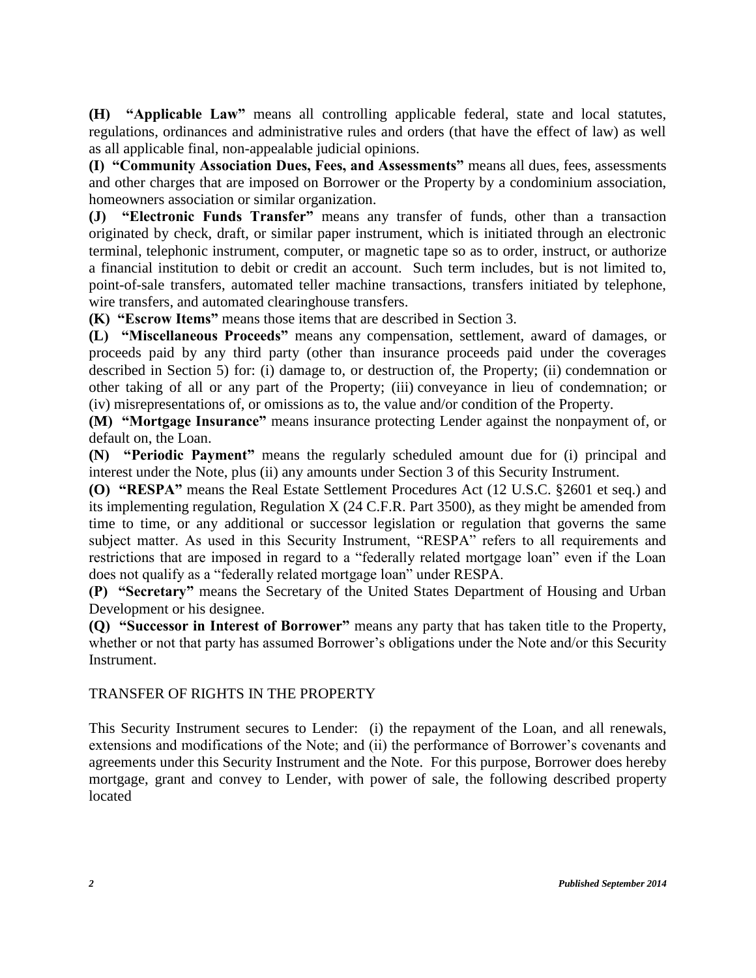**(H) "Applicable Law"** means all controlling applicable federal, state and local statutes, regulations, ordinances and administrative rules and orders (that have the effect of law) as well as all applicable final, non-appealable judicial opinions.

**(I) "Community Association Dues, Fees, and Assessments"** means all dues, fees, assessments and other charges that are imposed on Borrower or the Property by a condominium association, homeowners association or similar organization.

**(J) "Electronic Funds Transfer"** means any transfer of funds, other than a transaction originated by check, draft, or similar paper instrument, which is initiated through an electronic terminal, telephonic instrument, computer, or magnetic tape so as to order, instruct, or authorize a financial institution to debit or credit an account. Such term includes, but is not limited to, point-of-sale transfers, automated teller machine transactions, transfers initiated by telephone, wire transfers, and automated clearinghouse transfers.

**(K) "Escrow Items"** means those items that are described in Section 3.

**(L) "Miscellaneous Proceeds"** means any compensation, settlement, award of damages, or proceeds paid by any third party (other than insurance proceeds paid under the coverages described in Section 5) for: (i) damage to, or destruction of, the Property; (ii) condemnation or other taking of all or any part of the Property; (iii) conveyance in lieu of condemnation; or (iv) misrepresentations of, or omissions as to, the value and/or condition of the Property.

**(M) "Mortgage Insurance"** means insurance protecting Lender against the nonpayment of, or default on, the Loan.

**(N) "Periodic Payment"** means the regularly scheduled amount due for (i) principal and interest under the Note, plus (ii) any amounts under Section 3 of this Security Instrument.

**(O) "RESPA"** means the Real Estate Settlement Procedures Act (12 U.S.C. §2601 et seq.) and its implementing regulation, Regulation X (24 C.F.R. Part 3500), as they might be amended from time to time, or any additional or successor legislation or regulation that governs the same subject matter. As used in this Security Instrument, "RESPA" refers to all requirements and restrictions that are imposed in regard to a "federally related mortgage loan" even if the Loan does not qualify as a "federally related mortgage loan" under RESPA.

**(P) "Secretary"** means the Secretary of the United States Department of Housing and Urban Development or his designee.

**(Q) "Successor in Interest of Borrower"** means any party that has taken title to the Property, whether or not that party has assumed Borrower's obligations under the Note and/or this Security Instrument.

## TRANSFER OF RIGHTS IN THE PROPERTY

This Security Instrument secures to Lender: (i) the repayment of the Loan, and all renewals, extensions and modifications of the Note; and (ii) the performance of Borrower's covenants and agreements under this Security Instrument and the Note. For this purpose, Borrower does hereby mortgage, grant and convey to Lender, with power of sale, the following described property located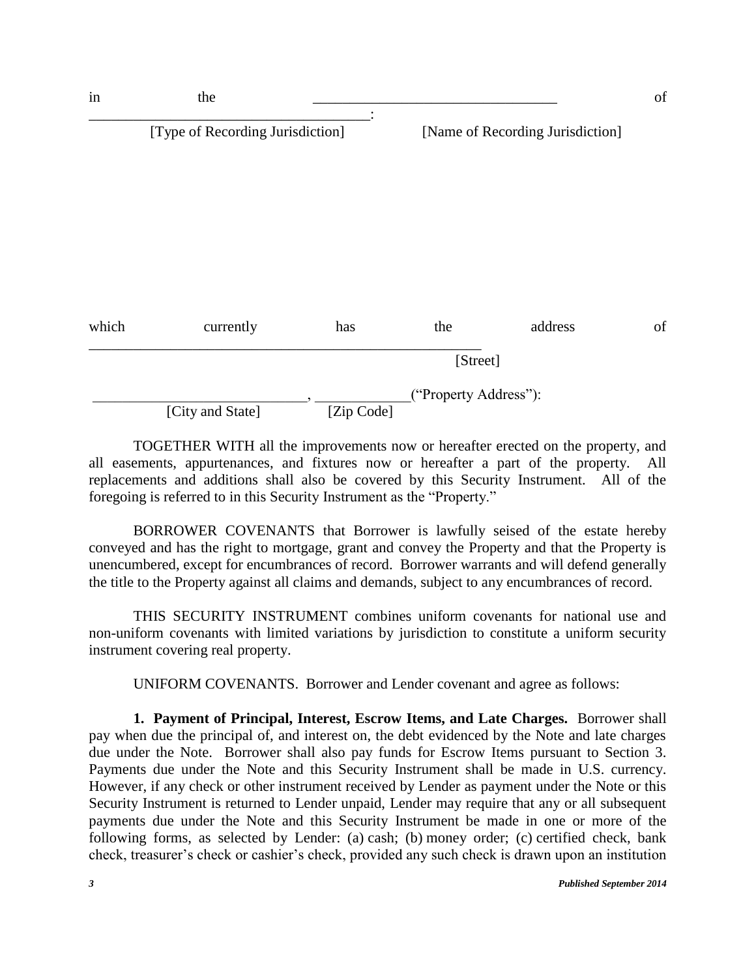

TOGETHER WITH all the improvements now or hereafter erected on the property, and all easements, appurtenances, and fixtures now or hereafter a part of the property. All replacements and additions shall also be covered by this Security Instrument. All of the foregoing is referred to in this Security Instrument as the "Property."

BORROWER COVENANTS that Borrower is lawfully seised of the estate hereby conveyed and has the right to mortgage, grant and convey the Property and that the Property is unencumbered, except for encumbrances of record. Borrower warrants and will defend generally the title to the Property against all claims and demands, subject to any encumbrances of record.

THIS SECURITY INSTRUMENT combines uniform covenants for national use and non-uniform covenants with limited variations by jurisdiction to constitute a uniform security instrument covering real property.

UNIFORM COVENANTS. Borrower and Lender covenant and agree as follows:

**1. Payment of Principal, Interest, Escrow Items, and Late Charges.** Borrower shall pay when due the principal of, and interest on, the debt evidenced by the Note and late charges due under the Note. Borrower shall also pay funds for Escrow Items pursuant to Section 3. Payments due under the Note and this Security Instrument shall be made in U.S. currency. However, if any check or other instrument received by Lender as payment under the Note or this Security Instrument is returned to Lender unpaid, Lender may require that any or all subsequent payments due under the Note and this Security Instrument be made in one or more of the following forms, as selected by Lender: (a) cash; (b) money order; (c) certified check, bank check, treasurer's check or cashier's check, provided any such check is drawn upon an institution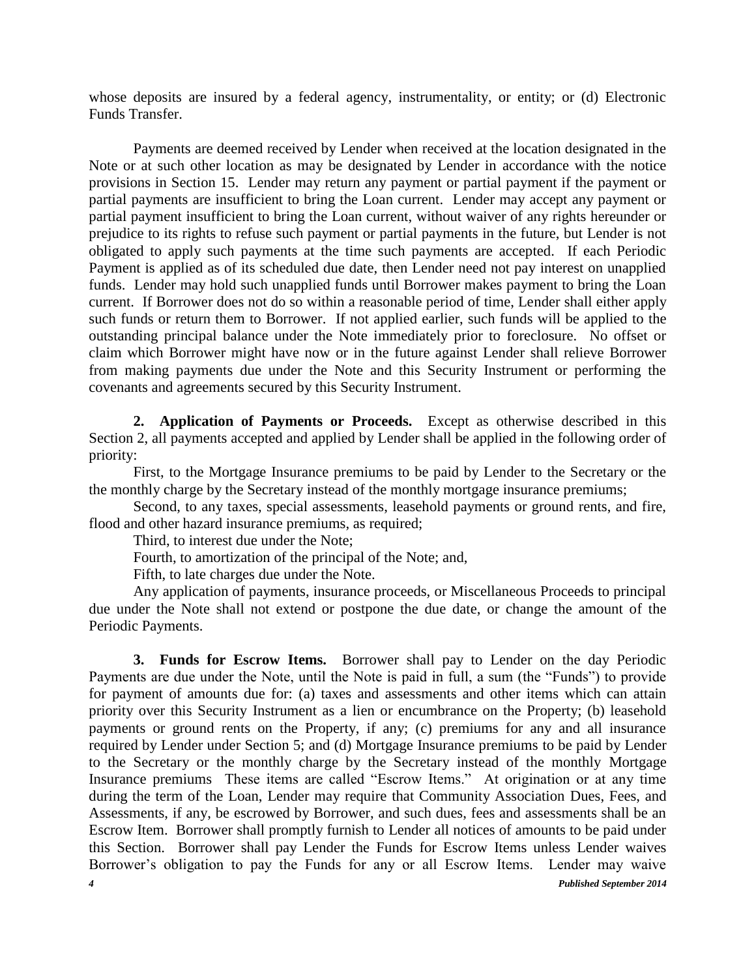whose deposits are insured by a federal agency, instrumentality, or entity; or (d) Electronic Funds Transfer.

 Payments are deemed received by Lender when received at the location designated in the Note or at such other location as may be designated by Lender in accordance with the notice provisions in Section 15. Lender may return any payment or partial payment if the payment or partial payments are insufficient to bring the Loan current. Lender may accept any payment or partial payment insufficient to bring the Loan current, without waiver of any rights hereunder or prejudice to its rights to refuse such payment or partial payments in the future, but Lender is not obligated to apply such payments at the time such payments are accepted. If each Periodic Payment is applied as of its scheduled due date, then Lender need not pay interest on unapplied funds. Lender may hold such unapplied funds until Borrower makes payment to bring the Loan current. If Borrower does not do so within a reasonable period of time, Lender shall either apply such funds or return them to Borrower. If not applied earlier, such funds will be applied to the outstanding principal balance under the Note immediately prior to foreclosure. No offset or claim which Borrower might have now or in the future against Lender shall relieve Borrower from making payments due under the Note and this Security Instrument or performing the covenants and agreements secured by this Security Instrument.

**2. Application of Payments or Proceeds.** Except as otherwise described in this Section 2, all payments accepted and applied by Lender shall be applied in the following order of priority:

First, to the Mortgage Insurance premiums to be paid by Lender to the Secretary or the the monthly charge by the Secretary instead of the monthly mortgage insurance premiums;

Second, to any taxes, special assessments, leasehold payments or ground rents, and fire, flood and other hazard insurance premiums, as required;

Third, to interest due under the Note;

Fourth, to amortization of the principal of the Note; and,

Fifth, to late charges due under the Note.

Any application of payments, insurance proceeds, or Miscellaneous Proceeds to principal due under the Note shall not extend or postpone the due date, or change the amount of the Periodic Payments.

*4 Published September 2014* **3. Funds for Escrow Items.** Borrower shall pay to Lender on the day Periodic Payments are due under the Note, until the Note is paid in full, a sum (the "Funds") to provide for payment of amounts due for: (a) taxes and assessments and other items which can attain priority over this Security Instrument as a lien or encumbrance on the Property; (b) leasehold payments or ground rents on the Property, if any; (c) premiums for any and all insurance required by Lender under Section 5; and (d) Mortgage Insurance premiums to be paid by Lender to the Secretary or the monthly charge by the Secretary instead of the monthly Mortgage Insurance premiums These items are called "Escrow Items." At origination or at any time during the term of the Loan, Lender may require that Community Association Dues, Fees, and Assessments, if any, be escrowed by Borrower, and such dues, fees and assessments shall be an Escrow Item. Borrower shall promptly furnish to Lender all notices of amounts to be paid under this Section. Borrower shall pay Lender the Funds for Escrow Items unless Lender waives Borrower's obligation to pay the Funds for any or all Escrow Items. Lender may waive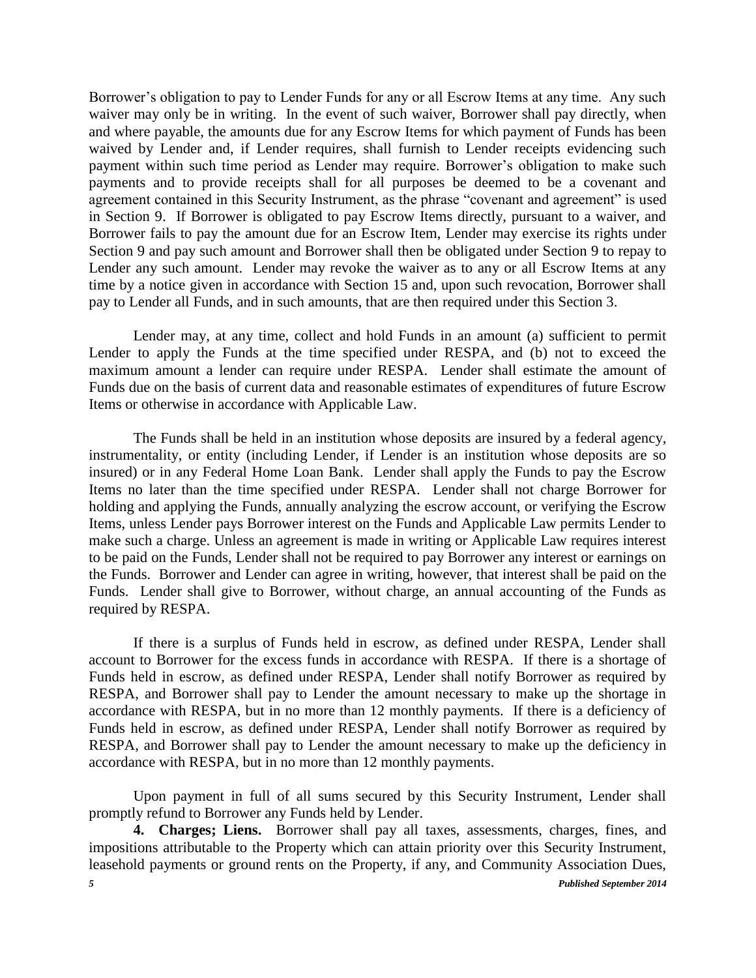Borrower's obligation to pay to Lender Funds for any or all Escrow Items at any time. Any such waiver may only be in writing. In the event of such waiver, Borrower shall pay directly, when and where payable, the amounts due for any Escrow Items for which payment of Funds has been waived by Lender and, if Lender requires, shall furnish to Lender receipts evidencing such payment within such time period as Lender may require. Borrower's obligation to make such payments and to provide receipts shall for all purposes be deemed to be a covenant and agreement contained in this Security Instrument, as the phrase "covenant and agreement" is used in Section 9. If Borrower is obligated to pay Escrow Items directly, pursuant to a waiver, and Borrower fails to pay the amount due for an Escrow Item, Lender may exercise its rights under Section 9 and pay such amount and Borrower shall then be obligated under Section 9 to repay to Lender any such amount. Lender may revoke the waiver as to any or all Escrow Items at any time by a notice given in accordance with Section 15 and, upon such revocation, Borrower shall pay to Lender all Funds, and in such amounts, that are then required under this Section 3.

Lender may, at any time, collect and hold Funds in an amount (a) sufficient to permit Lender to apply the Funds at the time specified under RESPA, and (b) not to exceed the maximum amount a lender can require under RESPA. Lender shall estimate the amount of Funds due on the basis of current data and reasonable estimates of expenditures of future Escrow Items or otherwise in accordance with Applicable Law.

The Funds shall be held in an institution whose deposits are insured by a federal agency, instrumentality, or entity (including Lender, if Lender is an institution whose deposits are so insured) or in any Federal Home Loan Bank. Lender shall apply the Funds to pay the Escrow Items no later than the time specified under RESPA. Lender shall not charge Borrower for holding and applying the Funds, annually analyzing the escrow account, or verifying the Escrow Items, unless Lender pays Borrower interest on the Funds and Applicable Law permits Lender to make such a charge. Unless an agreement is made in writing or Applicable Law requires interest to be paid on the Funds, Lender shall not be required to pay Borrower any interest or earnings on the Funds. Borrower and Lender can agree in writing, however, that interest shall be paid on the Funds. Lender shall give to Borrower, without charge, an annual accounting of the Funds as required by RESPA.

If there is a surplus of Funds held in escrow, as defined under RESPA, Lender shall account to Borrower for the excess funds in accordance with RESPA. If there is a shortage of Funds held in escrow, as defined under RESPA, Lender shall notify Borrower as required by RESPA, and Borrower shall pay to Lender the amount necessary to make up the shortage in accordance with RESPA, but in no more than 12 monthly payments. If there is a deficiency of Funds held in escrow, as defined under RESPA, Lender shall notify Borrower as required by RESPA, and Borrower shall pay to Lender the amount necessary to make up the deficiency in accordance with RESPA, but in no more than 12 monthly payments.

Upon payment in full of all sums secured by this Security Instrument, Lender shall promptly refund to Borrower any Funds held by Lender.

*5 Published September 2014* **4. Charges; Liens.** Borrower shall pay all taxes, assessments, charges, fines, and impositions attributable to the Property which can attain priority over this Security Instrument, leasehold payments or ground rents on the Property, if any, and Community Association Dues,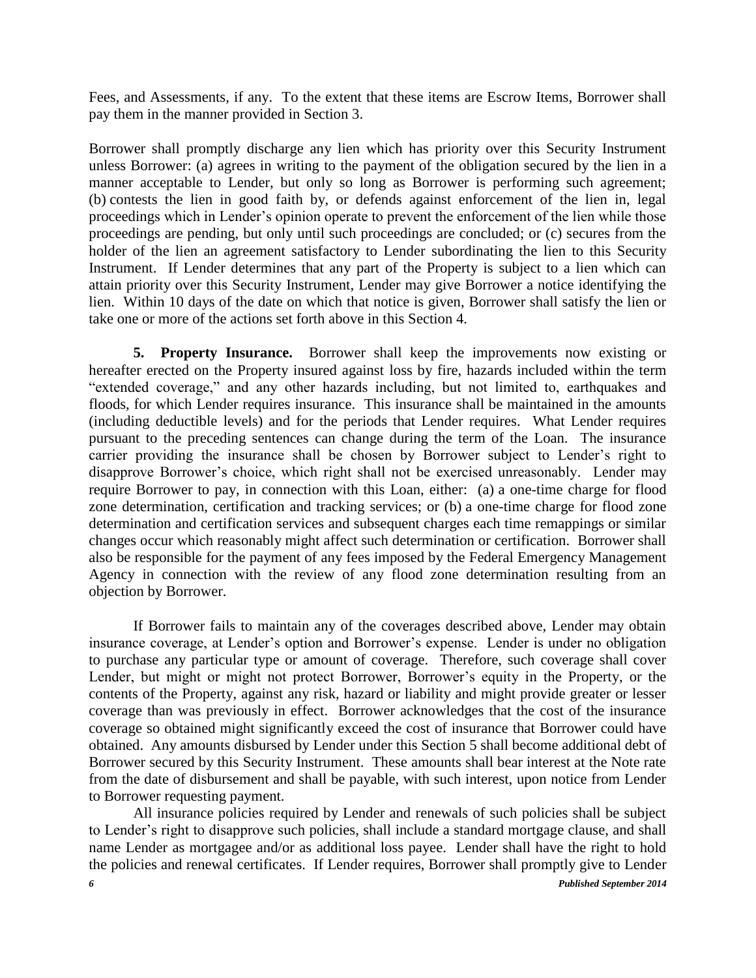Fees, and Assessments, if any. To the extent that these items are Escrow Items, Borrower shall pay them in the manner provided in Section 3.

Borrower shall promptly discharge any lien which has priority over this Security Instrument unless Borrower: (a) agrees in writing to the payment of the obligation secured by the lien in a manner acceptable to Lender, but only so long as Borrower is performing such agreement; (b) contests the lien in good faith by, or defends against enforcement of the lien in, legal proceedings which in Lender's opinion operate to prevent the enforcement of the lien while those proceedings are pending, but only until such proceedings are concluded; or (c) secures from the holder of the lien an agreement satisfactory to Lender subordinating the lien to this Security Instrument. If Lender determines that any part of the Property is subject to a lien which can attain priority over this Security Instrument, Lender may give Borrower a notice identifying the lien. Within 10 days of the date on which that notice is given, Borrower shall satisfy the lien or take one or more of the actions set forth above in this Section 4.

**5. Property Insurance.** Borrower shall keep the improvements now existing or hereafter erected on the Property insured against loss by fire, hazards included within the term "extended coverage," and any other hazards including, but not limited to, earthquakes and floods, for which Lender requires insurance. This insurance shall be maintained in the amounts (including deductible levels) and for the periods that Lender requires. What Lender requires pursuant to the preceding sentences can change during the term of the Loan. The insurance carrier providing the insurance shall be chosen by Borrower subject to Lender's right to disapprove Borrower's choice, which right shall not be exercised unreasonably. Lender may require Borrower to pay, in connection with this Loan, either: (a) a one-time charge for flood zone determination, certification and tracking services; or (b) a one-time charge for flood zone determination and certification services and subsequent charges each time remappings or similar changes occur which reasonably might affect such determination or certification. Borrower shall also be responsible for the payment of any fees imposed by the Federal Emergency Management Agency in connection with the review of any flood zone determination resulting from an objection by Borrower.

If Borrower fails to maintain any of the coverages described above, Lender may obtain insurance coverage, at Lender's option and Borrower's expense. Lender is under no obligation to purchase any particular type or amount of coverage. Therefore, such coverage shall cover Lender, but might or might not protect Borrower, Borrower's equity in the Property, or the contents of the Property, against any risk, hazard or liability and might provide greater or lesser coverage than was previously in effect. Borrower acknowledges that the cost of the insurance coverage so obtained might significantly exceed the cost of insurance that Borrower could have obtained. Any amounts disbursed by Lender under this Section 5 shall become additional debt of Borrower secured by this Security Instrument. These amounts shall bear interest at the Note rate from the date of disbursement and shall be payable, with such interest, upon notice from Lender to Borrower requesting payment.

*6 Published September 2014* All insurance policies required by Lender and renewals of such policies shall be subject to Lender's right to disapprove such policies, shall include a standard mortgage clause, and shall name Lender as mortgagee and/or as additional loss payee. Lender shall have the right to hold the policies and renewal certificates. If Lender requires, Borrower shall promptly give to Lender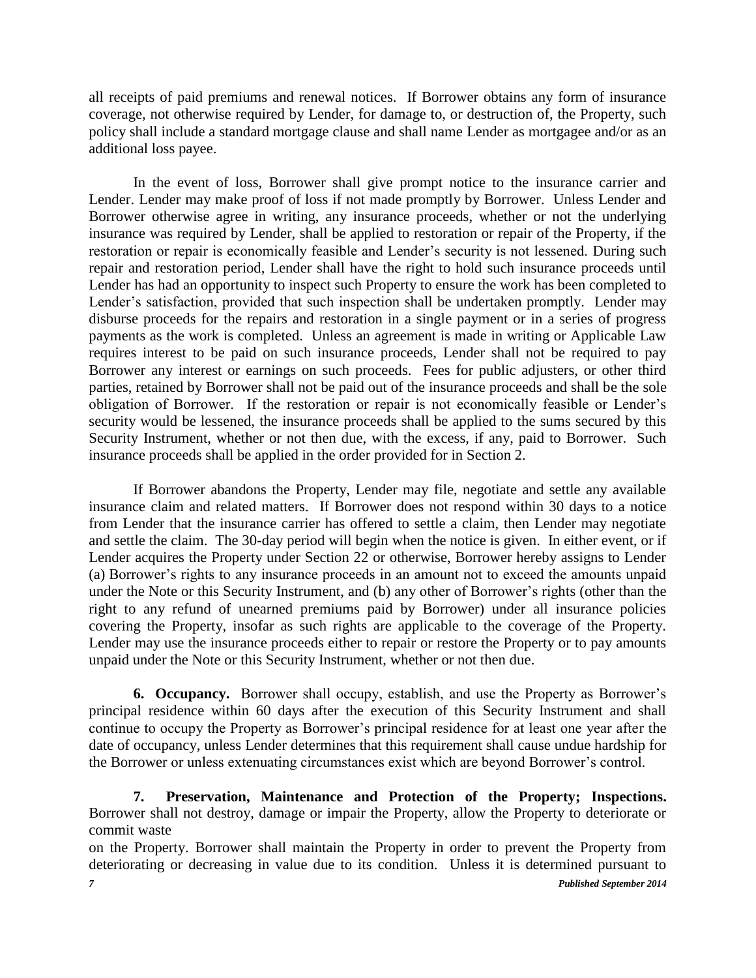all receipts of paid premiums and renewal notices. If Borrower obtains any form of insurance coverage, not otherwise required by Lender, for damage to, or destruction of, the Property, such policy shall include a standard mortgage clause and shall name Lender as mortgagee and/or as an additional loss payee.

In the event of loss, Borrower shall give prompt notice to the insurance carrier and Lender. Lender may make proof of loss if not made promptly by Borrower. Unless Lender and Borrower otherwise agree in writing, any insurance proceeds, whether or not the underlying insurance was required by Lender, shall be applied to restoration or repair of the Property, if the restoration or repair is economically feasible and Lender's security is not lessened. During such repair and restoration period, Lender shall have the right to hold such insurance proceeds until Lender has had an opportunity to inspect such Property to ensure the work has been completed to Lender's satisfaction, provided that such inspection shall be undertaken promptly. Lender may disburse proceeds for the repairs and restoration in a single payment or in a series of progress payments as the work is completed. Unless an agreement is made in writing or Applicable Law requires interest to be paid on such insurance proceeds, Lender shall not be required to pay Borrower any interest or earnings on such proceeds. Fees for public adjusters, or other third parties, retained by Borrower shall not be paid out of the insurance proceeds and shall be the sole obligation of Borrower. If the restoration or repair is not economically feasible or Lender's security would be lessened, the insurance proceeds shall be applied to the sums secured by this Security Instrument, whether or not then due, with the excess, if any, paid to Borrower. Such insurance proceeds shall be applied in the order provided for in Section 2.

If Borrower abandons the Property, Lender may file, negotiate and settle any available insurance claim and related matters. If Borrower does not respond within 30 days to a notice from Lender that the insurance carrier has offered to settle a claim, then Lender may negotiate and settle the claim. The 30-day period will begin when the notice is given. In either event, or if Lender acquires the Property under Section 22 or otherwise, Borrower hereby assigns to Lender (a) Borrower's rights to any insurance proceeds in an amount not to exceed the amounts unpaid under the Note or this Security Instrument, and (b) any other of Borrower's rights (other than the right to any refund of unearned premiums paid by Borrower) under all insurance policies covering the Property, insofar as such rights are applicable to the coverage of the Property. Lender may use the insurance proceeds either to repair or restore the Property or to pay amounts unpaid under the Note or this Security Instrument, whether or not then due.

**6. Occupancy.** Borrower shall occupy, establish, and use the Property as Borrower's principal residence within 60 days after the execution of this Security Instrument and shall continue to occupy the Property as Borrower's principal residence for at least one year after the date of occupancy, unless Lender determines that this requirement shall cause undue hardship for the Borrower or unless extenuating circumstances exist which are beyond Borrower's control.

**7. Preservation, Maintenance and Protection of the Property; Inspections.** Borrower shall not destroy, damage or impair the Property, allow the Property to deteriorate or commit waste

*7 Published September 2014* on the Property. Borrower shall maintain the Property in order to prevent the Property from deteriorating or decreasing in value due to its condition. Unless it is determined pursuant to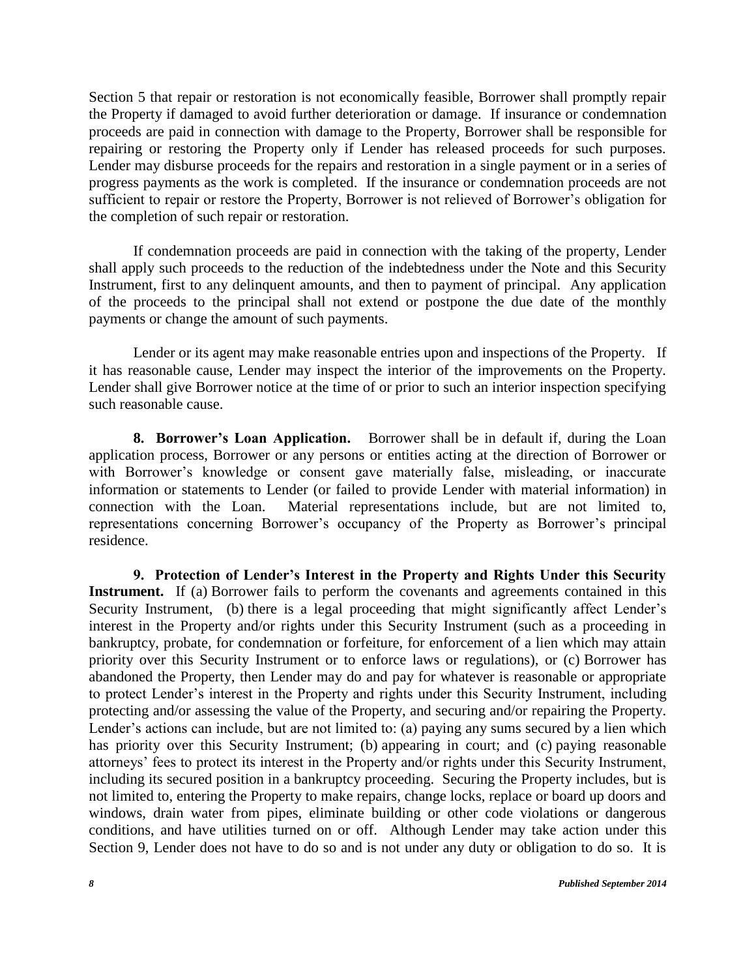Section 5 that repair or restoration is not economically feasible, Borrower shall promptly repair the Property if damaged to avoid further deterioration or damage. If insurance or condemnation proceeds are paid in connection with damage to the Property, Borrower shall be responsible for repairing or restoring the Property only if Lender has released proceeds for such purposes. Lender may disburse proceeds for the repairs and restoration in a single payment or in a series of progress payments as the work is completed. If the insurance or condemnation proceeds are not sufficient to repair or restore the Property, Borrower is not relieved of Borrower's obligation for the completion of such repair or restoration.

If condemnation proceeds are paid in connection with the taking of the property, Lender shall apply such proceeds to the reduction of the indebtedness under the Note and this Security Instrument, first to any delinquent amounts, and then to payment of principal. Any application of the proceeds to the principal shall not extend or postpone the due date of the monthly payments or change the amount of such payments.

Lender or its agent may make reasonable entries upon and inspections of the Property. If it has reasonable cause, Lender may inspect the interior of the improvements on the Property. Lender shall give Borrower notice at the time of or prior to such an interior inspection specifying such reasonable cause.

**8. Borrower's Loan Application.** Borrower shall be in default if, during the Loan application process, Borrower or any persons or entities acting at the direction of Borrower or with Borrower's knowledge or consent gave materially false, misleading, or inaccurate information or statements to Lender (or failed to provide Lender with material information) in connection with the Loan. Material representations include, but are not limited to, representations concerning Borrower's occupancy of the Property as Borrower's principal residence.

**9. Protection of Lender's Interest in the Property and Rights Under this Security**  Instrument. If (a) Borrower fails to perform the covenants and agreements contained in this Security Instrument, (b) there is a legal proceeding that might significantly affect Lender's interest in the Property and/or rights under this Security Instrument (such as a proceeding in bankruptcy, probate, for condemnation or forfeiture, for enforcement of a lien which may attain priority over this Security Instrument or to enforce laws or regulations), or (c) Borrower has abandoned the Property, then Lender may do and pay for whatever is reasonable or appropriate to protect Lender's interest in the Property and rights under this Security Instrument, including protecting and/or assessing the value of the Property, and securing and/or repairing the Property. Lender's actions can include, but are not limited to: (a) paying any sums secured by a lien which has priority over this Security Instrument; (b) appearing in court; and (c) paying reasonable attorneys' fees to protect its interest in the Property and/or rights under this Security Instrument, including its secured position in a bankruptcy proceeding. Securing the Property includes, but is not limited to, entering the Property to make repairs, change locks, replace or board up doors and windows, drain water from pipes, eliminate building or other code violations or dangerous conditions, and have utilities turned on or off. Although Lender may take action under this Section 9, Lender does not have to do so and is not under any duty or obligation to do so. It is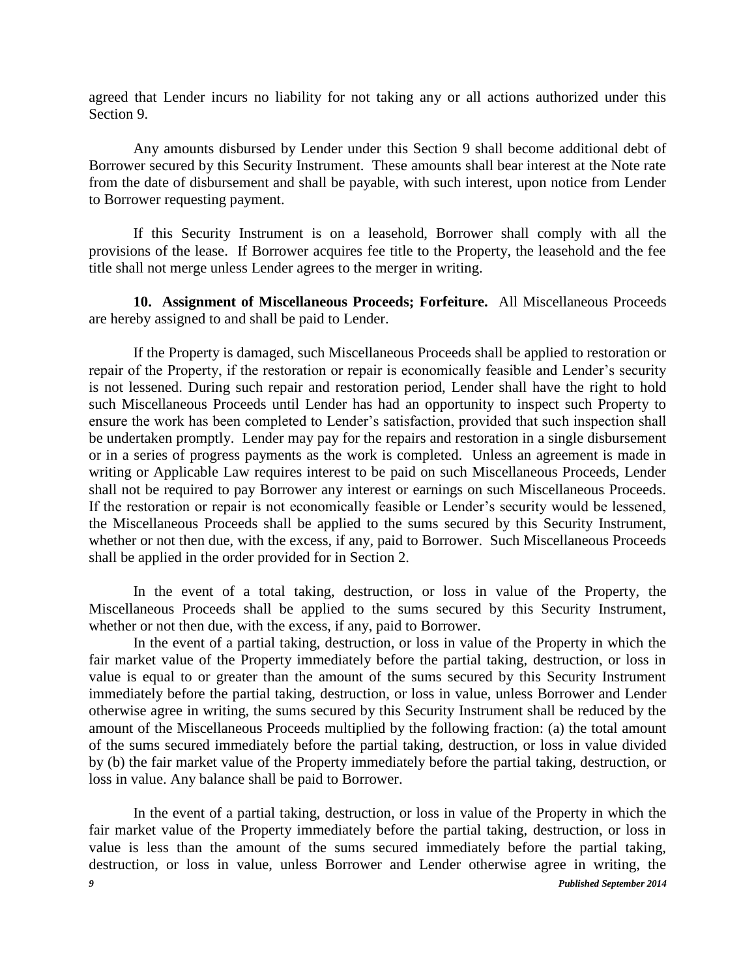agreed that Lender incurs no liability for not taking any or all actions authorized under this Section 9.

Any amounts disbursed by Lender under this Section 9 shall become additional debt of Borrower secured by this Security Instrument. These amounts shall bear interest at the Note rate from the date of disbursement and shall be payable, with such interest, upon notice from Lender to Borrower requesting payment.

If this Security Instrument is on a leasehold, Borrower shall comply with all the provisions of the lease. If Borrower acquires fee title to the Property, the leasehold and the fee title shall not merge unless Lender agrees to the merger in writing.

**10. Assignment of Miscellaneous Proceeds; Forfeiture.** All Miscellaneous Proceeds are hereby assigned to and shall be paid to Lender.

If the Property is damaged, such Miscellaneous Proceeds shall be applied to restoration or repair of the Property, if the restoration or repair is economically feasible and Lender's security is not lessened. During such repair and restoration period, Lender shall have the right to hold such Miscellaneous Proceeds until Lender has had an opportunity to inspect such Property to ensure the work has been completed to Lender's satisfaction, provided that such inspection shall be undertaken promptly. Lender may pay for the repairs and restoration in a single disbursement or in a series of progress payments as the work is completed. Unless an agreement is made in writing or Applicable Law requires interest to be paid on such Miscellaneous Proceeds, Lender shall not be required to pay Borrower any interest or earnings on such Miscellaneous Proceeds. If the restoration or repair is not economically feasible or Lender's security would be lessened, the Miscellaneous Proceeds shall be applied to the sums secured by this Security Instrument, whether or not then due, with the excess, if any, paid to Borrower. Such Miscellaneous Proceeds shall be applied in the order provided for in Section 2.

In the event of a total taking, destruction, or loss in value of the Property, the Miscellaneous Proceeds shall be applied to the sums secured by this Security Instrument, whether or not then due, with the excess, if any, paid to Borrower.

In the event of a partial taking, destruction, or loss in value of the Property in which the fair market value of the Property immediately before the partial taking, destruction, or loss in value is equal to or greater than the amount of the sums secured by this Security Instrument immediately before the partial taking, destruction, or loss in value, unless Borrower and Lender otherwise agree in writing, the sums secured by this Security Instrument shall be reduced by the amount of the Miscellaneous Proceeds multiplied by the following fraction: (a) the total amount of the sums secured immediately before the partial taking, destruction, or loss in value divided by (b) the fair market value of the Property immediately before the partial taking, destruction, or loss in value. Any balance shall be paid to Borrower.

*9 Published September 2014* In the event of a partial taking, destruction, or loss in value of the Property in which the fair market value of the Property immediately before the partial taking, destruction, or loss in value is less than the amount of the sums secured immediately before the partial taking, destruction, or loss in value, unless Borrower and Lender otherwise agree in writing, the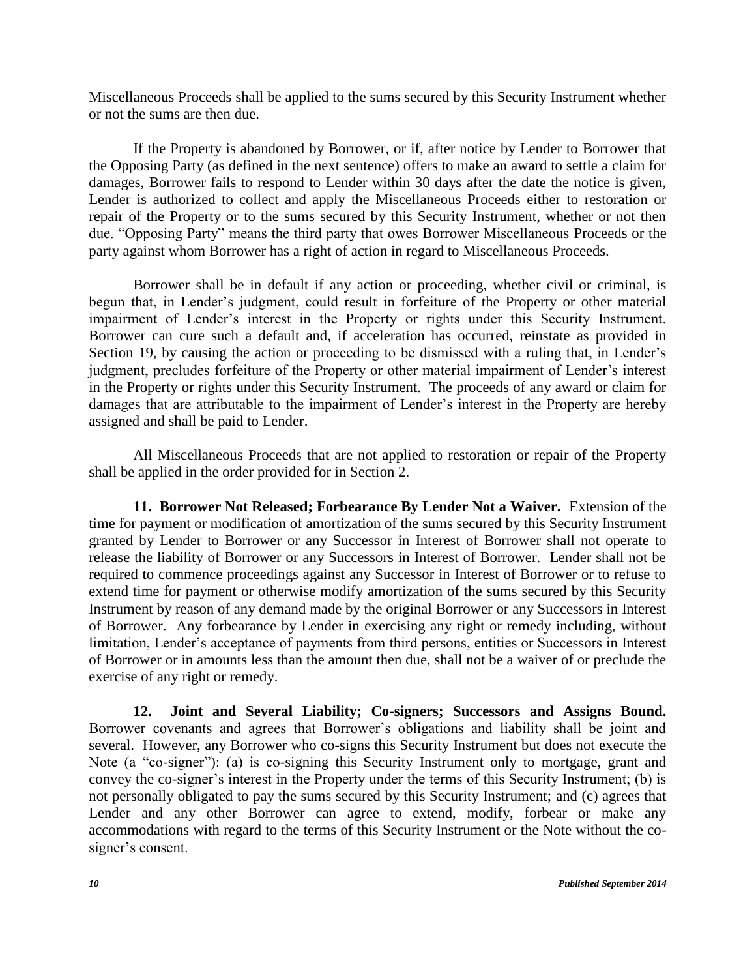Miscellaneous Proceeds shall be applied to the sums secured by this Security Instrument whether or not the sums are then due.

If the Property is abandoned by Borrower, or if, after notice by Lender to Borrower that the Opposing Party (as defined in the next sentence) offers to make an award to settle a claim for damages, Borrower fails to respond to Lender within 30 days after the date the notice is given, Lender is authorized to collect and apply the Miscellaneous Proceeds either to restoration or repair of the Property or to the sums secured by this Security Instrument, whether or not then due. "Opposing Party" means the third party that owes Borrower Miscellaneous Proceeds or the party against whom Borrower has a right of action in regard to Miscellaneous Proceeds.

Borrower shall be in default if any action or proceeding, whether civil or criminal, is begun that, in Lender's judgment, could result in forfeiture of the Property or other material impairment of Lender's interest in the Property or rights under this Security Instrument. Borrower can cure such a default and, if acceleration has occurred, reinstate as provided in Section 19, by causing the action or proceeding to be dismissed with a ruling that, in Lender's judgment, precludes forfeiture of the Property or other material impairment of Lender's interest in the Property or rights under this Security Instrument. The proceeds of any award or claim for damages that are attributable to the impairment of Lender's interest in the Property are hereby assigned and shall be paid to Lender.

All Miscellaneous Proceeds that are not applied to restoration or repair of the Property shall be applied in the order provided for in Section 2.

**11. Borrower Not Released; Forbearance By Lender Not a Waiver.** Extension of the time for payment or modification of amortization of the sums secured by this Security Instrument granted by Lender to Borrower or any Successor in Interest of Borrower shall not operate to release the liability of Borrower or any Successors in Interest of Borrower. Lender shall not be required to commence proceedings against any Successor in Interest of Borrower or to refuse to extend time for payment or otherwise modify amortization of the sums secured by this Security Instrument by reason of any demand made by the original Borrower or any Successors in Interest of Borrower. Any forbearance by Lender in exercising any right or remedy including, without limitation, Lender's acceptance of payments from third persons, entities or Successors in Interest of Borrower or in amounts less than the amount then due, shall not be a waiver of or preclude the exercise of any right or remedy.

**12. Joint and Several Liability; Co-signers; Successors and Assigns Bound.** Borrower covenants and agrees that Borrower's obligations and liability shall be joint and several. However, any Borrower who co-signs this Security Instrument but does not execute the Note (a "co-signer"): (a) is co-signing this Security Instrument only to mortgage, grant and convey the co-signer's interest in the Property under the terms of this Security Instrument; (b) is not personally obligated to pay the sums secured by this Security Instrument; and (c) agrees that Lender and any other Borrower can agree to extend, modify, forbear or make any accommodations with regard to the terms of this Security Instrument or the Note without the cosigner's consent.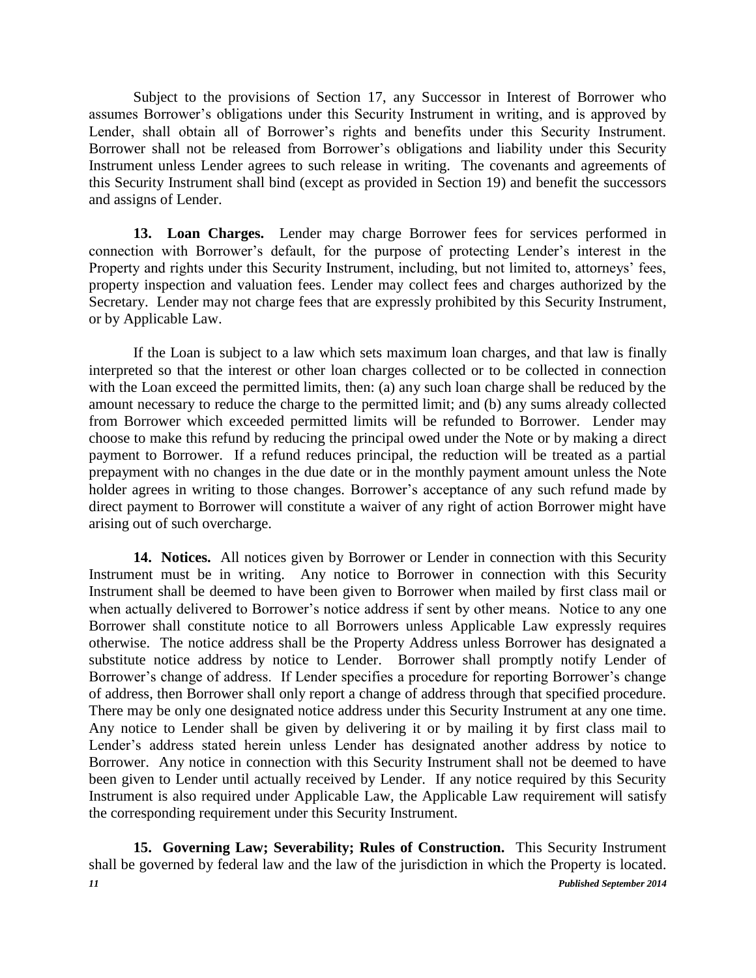Subject to the provisions of Section 17, any Successor in Interest of Borrower who assumes Borrower's obligations under this Security Instrument in writing, and is approved by Lender, shall obtain all of Borrower's rights and benefits under this Security Instrument. Borrower shall not be released from Borrower's obligations and liability under this Security Instrument unless Lender agrees to such release in writing. The covenants and agreements of this Security Instrument shall bind (except as provided in Section 19) and benefit the successors and assigns of Lender.

**13. Loan Charges.** Lender may charge Borrower fees for services performed in connection with Borrower's default, for the purpose of protecting Lender's interest in the Property and rights under this Security Instrument, including, but not limited to, attorneys' fees, property inspection and valuation fees. Lender may collect fees and charges authorized by the Secretary. Lender may not charge fees that are expressly prohibited by this Security Instrument, or by Applicable Law.

If the Loan is subject to a law which sets maximum loan charges, and that law is finally interpreted so that the interest or other loan charges collected or to be collected in connection with the Loan exceed the permitted limits, then: (a) any such loan charge shall be reduced by the amount necessary to reduce the charge to the permitted limit; and (b) any sums already collected from Borrower which exceeded permitted limits will be refunded to Borrower. Lender may choose to make this refund by reducing the principal owed under the Note or by making a direct payment to Borrower. If a refund reduces principal, the reduction will be treated as a partial prepayment with no changes in the due date or in the monthly payment amount unless the Note holder agrees in writing to those changes. Borrower's acceptance of any such refund made by direct payment to Borrower will constitute a waiver of any right of action Borrower might have arising out of such overcharge.

**14. Notices.** All notices given by Borrower or Lender in connection with this Security Instrument must be in writing. Any notice to Borrower in connection with this Security Instrument shall be deemed to have been given to Borrower when mailed by first class mail or when actually delivered to Borrower's notice address if sent by other means. Notice to any one Borrower shall constitute notice to all Borrowers unless Applicable Law expressly requires otherwise. The notice address shall be the Property Address unless Borrower has designated a substitute notice address by notice to Lender. Borrower shall promptly notify Lender of Borrower's change of address. If Lender specifies a procedure for reporting Borrower's change of address, then Borrower shall only report a change of address through that specified procedure. There may be only one designated notice address under this Security Instrument at any one time. Any notice to Lender shall be given by delivering it or by mailing it by first class mail to Lender's address stated herein unless Lender has designated another address by notice to Borrower. Any notice in connection with this Security Instrument shall not be deemed to have been given to Lender until actually received by Lender. If any notice required by this Security Instrument is also required under Applicable Law, the Applicable Law requirement will satisfy the corresponding requirement under this Security Instrument.

*11 Published September 2014* **15. Governing Law; Severability; Rules of Construction.** This Security Instrument shall be governed by federal law and the law of the jurisdiction in which the Property is located.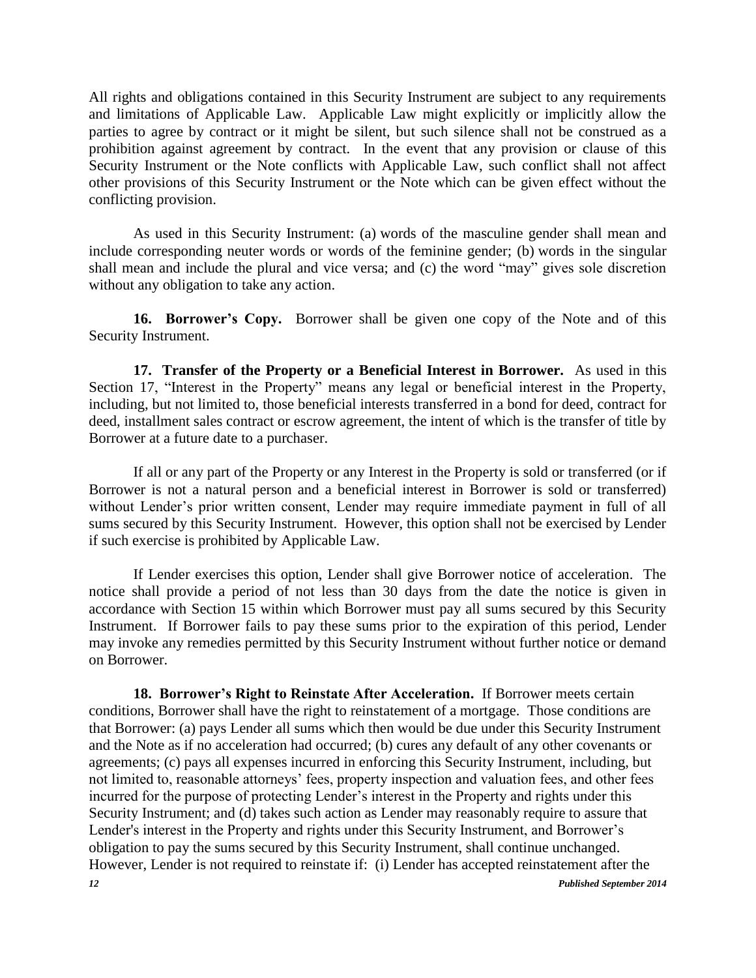All rights and obligations contained in this Security Instrument are subject to any requirements and limitations of Applicable Law. Applicable Law might explicitly or implicitly allow the parties to agree by contract or it might be silent, but such silence shall not be construed as a prohibition against agreement by contract. In the event that any provision or clause of this Security Instrument or the Note conflicts with Applicable Law, such conflict shall not affect other provisions of this Security Instrument or the Note which can be given effect without the conflicting provision.

As used in this Security Instrument: (a) words of the masculine gender shall mean and include corresponding neuter words or words of the feminine gender; (b) words in the singular shall mean and include the plural and vice versa; and (c) the word "may" gives sole discretion without any obligation to take any action.

**16. Borrower's Copy.** Borrower shall be given one copy of the Note and of this Security Instrument.

**17. Transfer of the Property or a Beneficial Interest in Borrower.** As used in this Section 17, "Interest in the Property" means any legal or beneficial interest in the Property, including, but not limited to, those beneficial interests transferred in a bond for deed, contract for deed, installment sales contract or escrow agreement, the intent of which is the transfer of title by Borrower at a future date to a purchaser.

If all or any part of the Property or any Interest in the Property is sold or transferred (or if Borrower is not a natural person and a beneficial interest in Borrower is sold or transferred) without Lender's prior written consent, Lender may require immediate payment in full of all sums secured by this Security Instrument. However, this option shall not be exercised by Lender if such exercise is prohibited by Applicable Law.

If Lender exercises this option, Lender shall give Borrower notice of acceleration. The notice shall provide a period of not less than 30 days from the date the notice is given in accordance with Section 15 within which Borrower must pay all sums secured by this Security Instrument. If Borrower fails to pay these sums prior to the expiration of this period, Lender may invoke any remedies permitted by this Security Instrument without further notice or demand on Borrower.

*12 Published September 2014* **18. Borrower's Right to Reinstate After Acceleration.** If Borrower meets certain conditions, Borrower shall have the right to reinstatement of a mortgage. Those conditions are that Borrower: (a) pays Lender all sums which then would be due under this Security Instrument and the Note as if no acceleration had occurred; (b) cures any default of any other covenants or agreements; (c) pays all expenses incurred in enforcing this Security Instrument, including, but not limited to, reasonable attorneys' fees, property inspection and valuation fees, and other fees incurred for the purpose of protecting Lender's interest in the Property and rights under this Security Instrument; and (d) takes such action as Lender may reasonably require to assure that Lender's interest in the Property and rights under this Security Instrument, and Borrower's obligation to pay the sums secured by this Security Instrument, shall continue unchanged. However, Lender is not required to reinstate if: (i) Lender has accepted reinstatement after the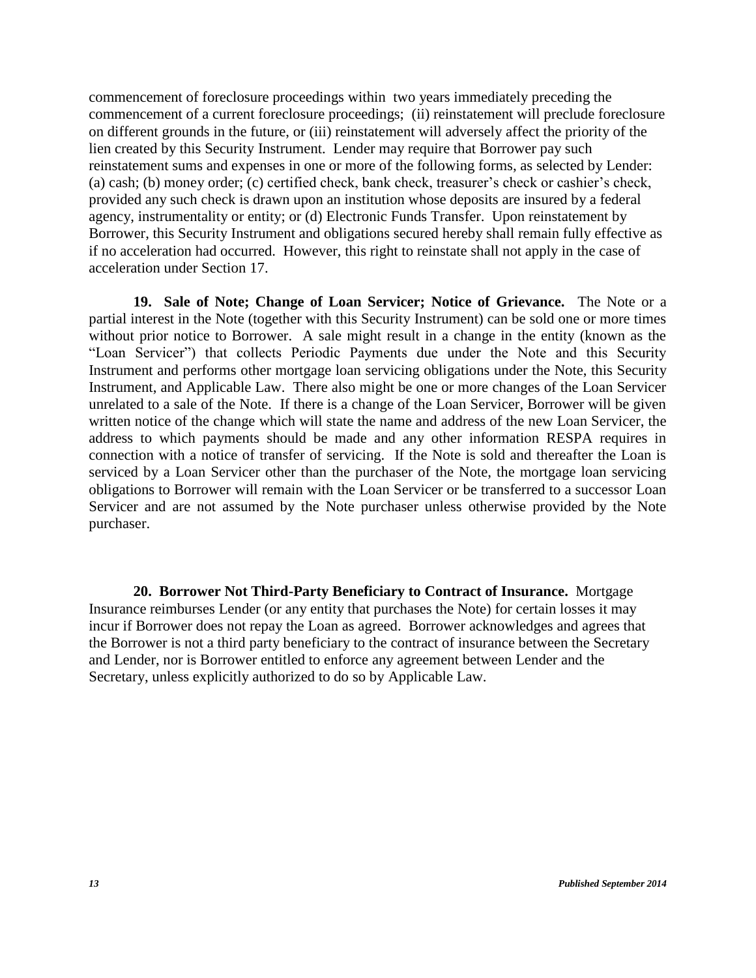commencement of foreclosure proceedings within two years immediately preceding the commencement of a current foreclosure proceedings; (ii) reinstatement will preclude foreclosure on different grounds in the future, or (iii) reinstatement will adversely affect the priority of the lien created by this Security Instrument. Lender may require that Borrower pay such reinstatement sums and expenses in one or more of the following forms, as selected by Lender: (a) cash; (b) money order; (c) certified check, bank check, treasurer's check or cashier's check, provided any such check is drawn upon an institution whose deposits are insured by a federal agency, instrumentality or entity; or (d) Electronic Funds Transfer. Upon reinstatement by Borrower, this Security Instrument and obligations secured hereby shall remain fully effective as if no acceleration had occurred. However, this right to reinstate shall not apply in the case of acceleration under Section 17.

**19. Sale of Note; Change of Loan Servicer; Notice of Grievance.** The Note or a partial interest in the Note (together with this Security Instrument) can be sold one or more times without prior notice to Borrower. A sale might result in a change in the entity (known as the "Loan Servicer") that collects Periodic Payments due under the Note and this Security Instrument and performs other mortgage loan servicing obligations under the Note, this Security Instrument, and Applicable Law. There also might be one or more changes of the Loan Servicer unrelated to a sale of the Note. If there is a change of the Loan Servicer, Borrower will be given written notice of the change which will state the name and address of the new Loan Servicer, the address to which payments should be made and any other information RESPA requires in connection with a notice of transfer of servicing. If the Note is sold and thereafter the Loan is serviced by a Loan Servicer other than the purchaser of the Note, the mortgage loan servicing obligations to Borrower will remain with the Loan Servicer or be transferred to a successor Loan Servicer and are not assumed by the Note purchaser unless otherwise provided by the Note purchaser.

**20. Borrower Not Third-Party Beneficiary to Contract of Insurance.** Mortgage Insurance reimburses Lender (or any entity that purchases the Note) for certain losses it may incur if Borrower does not repay the Loan as agreed. Borrower acknowledges and agrees that the Borrower is not a third party beneficiary to the contract of insurance between the Secretary and Lender, nor is Borrower entitled to enforce any agreement between Lender and the Secretary, unless explicitly authorized to do so by Applicable Law.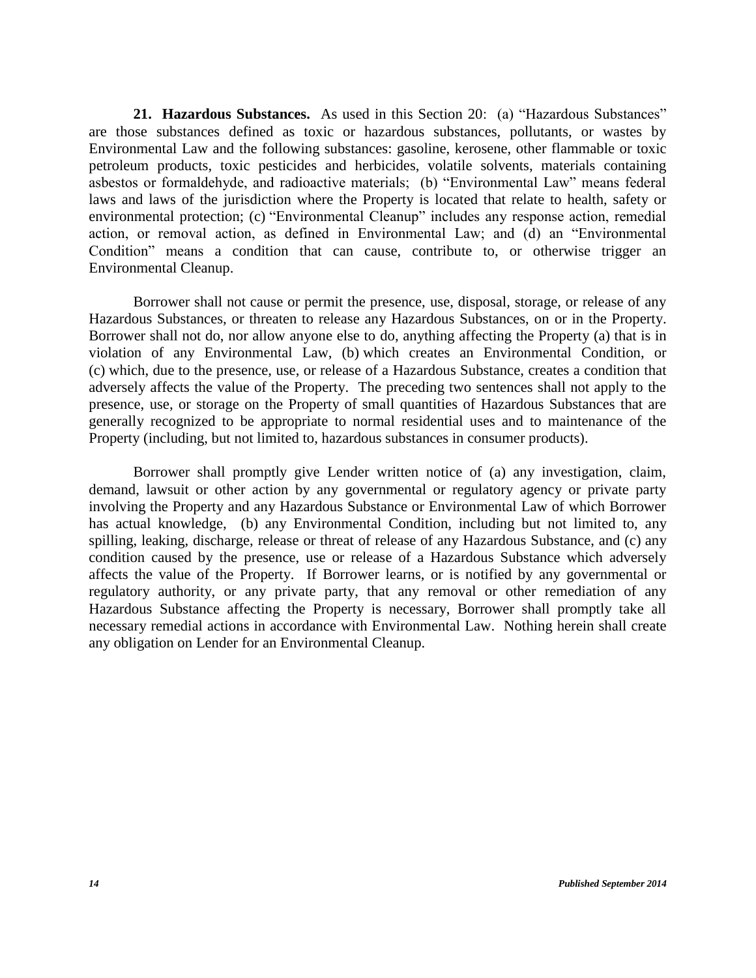**21. Hazardous Substances.** As used in this Section 20: (a) "Hazardous Substances" are those substances defined as toxic or hazardous substances, pollutants, or wastes by Environmental Law and the following substances: gasoline, kerosene, other flammable or toxic petroleum products, toxic pesticides and herbicides, volatile solvents, materials containing asbestos or formaldehyde, and radioactive materials; (b) "Environmental Law" means federal laws and laws of the jurisdiction where the Property is located that relate to health, safety or environmental protection; (c) "Environmental Cleanup" includes any response action, remedial action, or removal action, as defined in Environmental Law; and (d) an "Environmental Condition" means a condition that can cause, contribute to, or otherwise trigger an Environmental Cleanup.

Borrower shall not cause or permit the presence, use, disposal, storage, or release of any Hazardous Substances, or threaten to release any Hazardous Substances, on or in the Property. Borrower shall not do, nor allow anyone else to do, anything affecting the Property (a) that is in violation of any Environmental Law, (b) which creates an Environmental Condition, or (c) which, due to the presence, use, or release of a Hazardous Substance, creates a condition that adversely affects the value of the Property. The preceding two sentences shall not apply to the presence, use, or storage on the Property of small quantities of Hazardous Substances that are generally recognized to be appropriate to normal residential uses and to maintenance of the Property (including, but not limited to, hazardous substances in consumer products).

Borrower shall promptly give Lender written notice of (a) any investigation, claim, demand, lawsuit or other action by any governmental or regulatory agency or private party involving the Property and any Hazardous Substance or Environmental Law of which Borrower has actual knowledge, (b) any Environmental Condition, including but not limited to, any spilling, leaking, discharge, release or threat of release of any Hazardous Substance, and (c) any condition caused by the presence, use or release of a Hazardous Substance which adversely affects the value of the Property. If Borrower learns, or is notified by any governmental or regulatory authority, or any private party, that any removal or other remediation of any Hazardous Substance affecting the Property is necessary, Borrower shall promptly take all necessary remedial actions in accordance with Environmental Law. Nothing herein shall create any obligation on Lender for an Environmental Cleanup.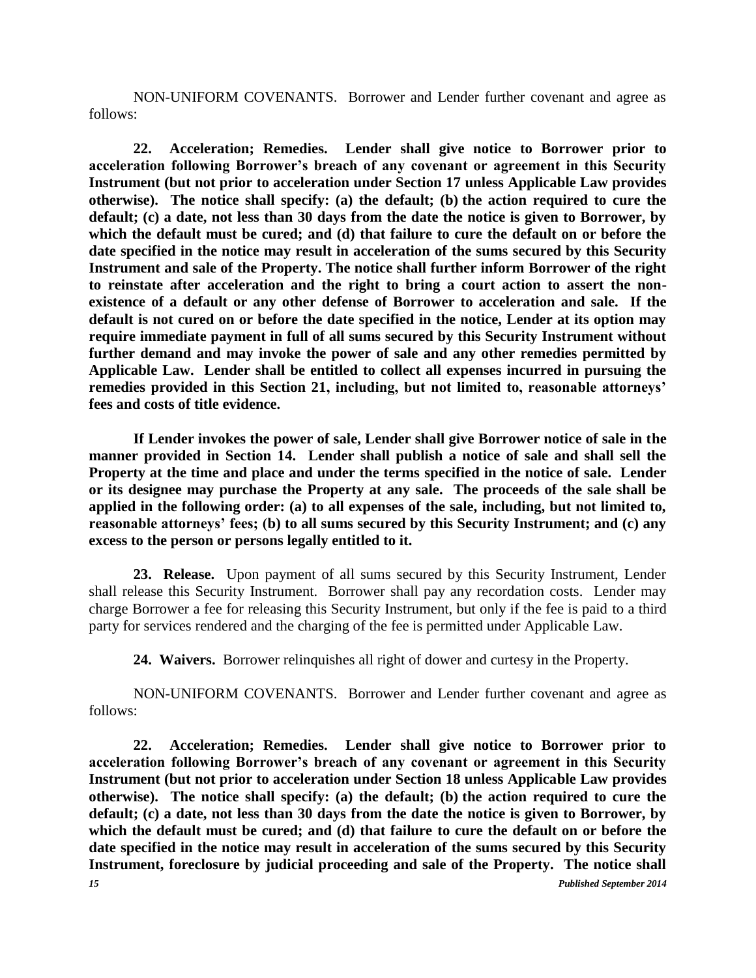NON-UNIFORM COVENANTS. Borrower and Lender further covenant and agree as follows:

**22. Acceleration; Remedies. Lender shall give notice to Borrower prior to acceleration following Borrower's breach of any covenant or agreement in this Security Instrument (but not prior to acceleration under Section 17 unless Applicable Law provides otherwise). The notice shall specify: (a) the default; (b) the action required to cure the default; (c) a date, not less than 30 days from the date the notice is given to Borrower, by which the default must be cured; and (d) that failure to cure the default on or before the date specified in the notice may result in acceleration of the sums secured by this Security Instrument and sale of the Property. The notice shall further inform Borrower of the right to reinstate after acceleration and the right to bring a court action to assert the nonexistence of a default or any other defense of Borrower to acceleration and sale. If the default is not cured on or before the date specified in the notice, Lender at its option may require immediate payment in full of all sums secured by this Security Instrument without further demand and may invoke the power of sale and any other remedies permitted by Applicable Law. Lender shall be entitled to collect all expenses incurred in pursuing the remedies provided in this Section 21, including, but not limited to, reasonable attorneys' fees and costs of title evidence.**

**If Lender invokes the power of sale, Lender shall give Borrower notice of sale in the manner provided in Section 14. Lender shall publish a notice of sale and shall sell the Property at the time and place and under the terms specified in the notice of sale. Lender or its designee may purchase the Property at any sale. The proceeds of the sale shall be applied in the following order: (a) to all expenses of the sale, including, but not limited to, reasonable attorneys' fees; (b) to all sums secured by this Security Instrument; and (c) any excess to the person or persons legally entitled to it.**

**23. Release.** Upon payment of all sums secured by this Security Instrument, Lender shall release this Security Instrument. Borrower shall pay any recordation costs. Lender may charge Borrower a fee for releasing this Security Instrument, but only if the fee is paid to a third party for services rendered and the charging of the fee is permitted under Applicable Law.

**24. Waivers.** Borrower relinquishes all right of dower and curtesy in the Property.

NON-UNIFORM COVENANTS. Borrower and Lender further covenant and agree as follows:

*15 Published September 2014* **22. Acceleration; Remedies. Lender shall give notice to Borrower prior to acceleration following Borrower's breach of any covenant or agreement in this Security Instrument (but not prior to acceleration under Section 18 unless Applicable Law provides otherwise). The notice shall specify: (a) the default; (b) the action required to cure the default; (c) a date, not less than 30 days from the date the notice is given to Borrower, by which the default must be cured; and (d) that failure to cure the default on or before the date specified in the notice may result in acceleration of the sums secured by this Security Instrument, foreclosure by judicial proceeding and sale of the Property. The notice shall**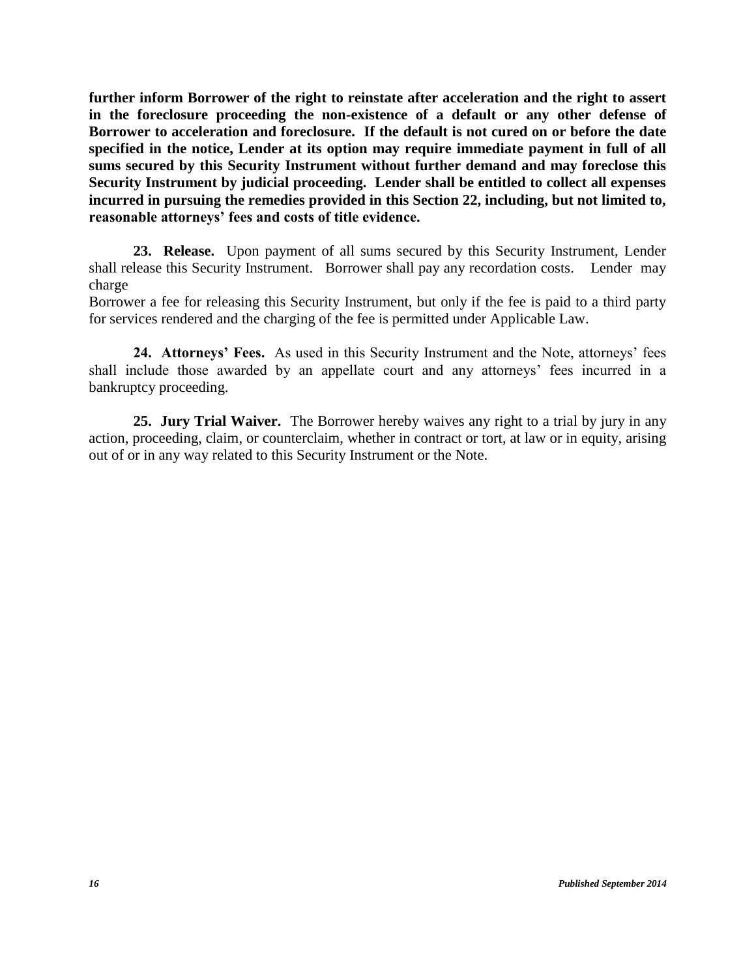**further inform Borrower of the right to reinstate after acceleration and the right to assert in the foreclosure proceeding the non-existence of a default or any other defense of Borrower to acceleration and foreclosure. If the default is not cured on or before the date specified in the notice, Lender at its option may require immediate payment in full of all sums secured by this Security Instrument without further demand and may foreclose this Security Instrument by judicial proceeding. Lender shall be entitled to collect all expenses incurred in pursuing the remedies provided in this Section 22, including, but not limited to, reasonable attorneys' fees and costs of title evidence.**

**23. Release.** Upon payment of all sums secured by this Security Instrument, Lender shall release this Security Instrument. Borrower shall pay any recordation costs. Lender may charge

Borrower a fee for releasing this Security Instrument, but only if the fee is paid to a third party for services rendered and the charging of the fee is permitted under Applicable Law.

**24. Attorneys' Fees.** As used in this Security Instrument and the Note, attorneys' fees shall include those awarded by an appellate court and any attorneys' fees incurred in a bankruptcy proceeding.

**25. Jury Trial Waiver.** The Borrower hereby waives any right to a trial by jury in any action, proceeding, claim, or counterclaim, whether in contract or tort, at law or in equity, arising out of or in any way related to this Security Instrument or the Note.